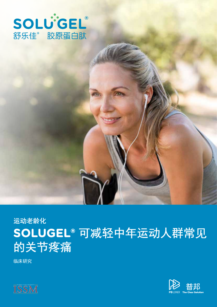



**SOLUGEL®** 可减轻中年运动人群常见

临床研究

的关节疼痛

运动老龄化

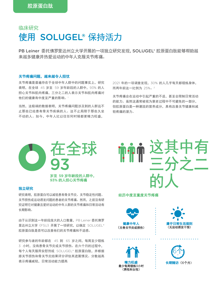# 临床研究 使用 SOLUGEL® 保持活力

PB Leiner 委托佛罗里达州立大学开展的一项独立研究发现,SOLUGEL® 胶原蛋白肽能够帮助越 来越多健康并热爱运动的中年人克服关节疼痛。

### 关节疼痛问题,越来越令人担忧

关节疼痛是普遍存在于全球中年人群中的问题事实上,研究 表明, 在全球 45 岁至 59 岁年龄段的人群中, 93% 的人 担心关节和肌肉疼痛,三分之二的人表示关节和肌肉疼痛对 他们的健康有中度至严重的影响。<sup>1</sup>

当然,这极端的数据表明,关节疼痛问题涉及到的人群远不 止那些已经患有骨关节疾病的人。这不止局限于那些久坐 不动的人。如今,中年人比以往任何时候都更精力旺盛,

2021 年的一项调查发现,30% 的人几乎每天都锻炼身体, 而两年前这一比例为 25%。<sup>2</sup>

关节疼痛会在运动中引起严重的不适,甚至会限制日常活动 的能力。虽然这通常被视为衰老过程中不可避免的一部分, 但胶原蛋白是一种潮流的营养成分,具有改善关节健康和减 轻疼痛的潜力。



#### 独立研究

研究表明,胶原蛋白可以减轻患有骨关节炎、关节稳定性问题、 关节损伤或运动诱发问题的患者的关节疼痛。然而,之前没有研 究证明它对健康且爱好运动的中年人群的关节疼痛和日常活动有 长期影响。

由于认识到这一年龄段庞大的人口数量,PB Leiner 委托佛罗 里达州立大学(FSU)开展了一项研究,以确定 SOLUGEL® 胶原蛋白肽是否可以改善他们的关节疼痛和不适感。

研究参与者的年龄都在 45 到 65 岁之间,每周至少锻炼 3 小时,没有患骨关节炎或关节损伤。在六个月的过程中, 每个人每天服用安慰剂或 SOLUGEL® 胶原蛋白肽,并根据 膝关节损伤和骨关节炎结果评分评估其进展情况。分数越高 表示疼痛减轻,日常活动能力提高

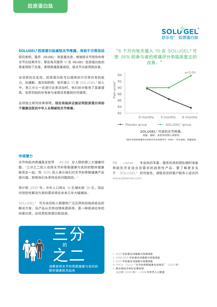

## SOLUGEL® 胶原蛋白肽减轻关节疼痛,有助于日常活动

研究表明,服用 SOLUGEL® 有显著改进。根据膝关节损伤和骨 关节炎结果评分, 那些每天服用 10 克 SOLUGEL® 胶原蛋白肽的 患者得到了改善,表明疼痛显著减轻,膝关节功能得到改善。

这项研究还发现,胶原蛋白肽可以提高执行日常任务的能 力, 如通勤、清洁和购物。每天摄入 10 克 SOLUGEL® 的人 中,有三分之一在进行此类活动时,他们的分数有了显著提 高。安慰剂组的所有参与者都没有看到任何提高。

这项独立研究结果表明,现在有临床证据证明胶原蛋白有助 于健康活跃的中年人长期减轻关节疼痛。



\*膝关节损伤疼痛评分和骨关节炎结果评分(KOOS)-评分越高,疼痛越轻。

#### 市场潜力

关节和肌肉疼痛是全世界 45-59 岁人群的第二大健康问 题。3三分之二的人也将关节和骨骼健康与良好的整体健康 联系在一起,而 60% 的人表示他们对关节和骨骼健康产品 感兴趣,即使他们未受特定的问题困扰。<sup>4</sup>

预计到 21005年, 中年人口将从 16 亿增长到 26 亿, 因此 对预防性解决方案的需求将在未来几年大幅增加。

SOLUGEL® 可为该目标人群提供广泛应用的经临床验证的 解决方案。该产品从天然动物来源获得,是一种高消化率的 纯蛋白质,由优质胶原蛋白肽组成。

PB Leiner 专业知识丰富、服务优质的团队随时准备 帮助您开发适合您需求的趋势性产品。要了解更多关 于 SOLUGEL® 的可能性,请联系您的客户联系人或访问 www.pbleiner.com



1. 2021 年欧睿全球健康与保健调查

- 2.2019-2021 年欧睿全球健康与保健调查
- 3.2021 年欧睿全球健康与保健调查
- 4.FMCG Gurus"关节和骨骼健康全球报告"(2021 年)

5.联合国经济和社会事务部

人口司(2019 年)。2019 年世界人口展望